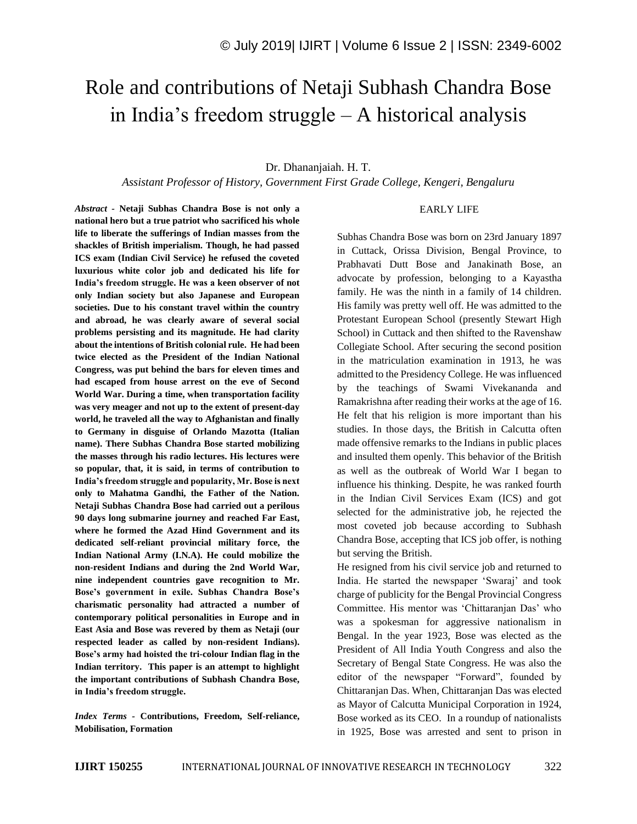# Role and contributions of Netaji Subhash Chandra Bose in India's freedom struggle – A historical analysis

## Dr. Dhananjaiah. H. T.

*Assistant Professor of History, Government First Grade College, Kengeri, Bengaluru*

#### EARLY LIFE

*Abstract -* **Netaji Subhas Chandra Bose is not only a national hero but a true patriot who sacrificed his whole life to liberate the sufferings of Indian masses from the shackles of British imperialism. Though, he had passed ICS exam (Indian Civil Service) he refused the coveted luxurious white color job and dedicated his life for India's freedom struggle. He was a keen observer of not only Indian society but also Japanese and European societies. Due to his constant travel within the country and abroad, he was clearly aware of several social problems persisting and its magnitude. He had clarity about the intentions of British colonial rule. He had been twice elected as the President of the Indian National Congress, was put behind the bars for eleven times and had escaped from house arrest on the eve of Second World War. During a time, when transportation facility was very meager and not up to the extent of present-day world, he traveled all the way to Afghanistan and finally to Germany in disguise of Orlando Mazotta (Italian name). There Subhas Chandra Bose started mobilizing the masses through his radio lectures. His lectures were so popular, that, it is said, in terms of contribution to India's freedom struggle and popularity, Mr. Bose is next only to Mahatma Gandhi, the Father of the Nation. Netaji Subhas Chandra Bose had carried out a perilous 90 days long submarine journey and reached Far East, where he formed the Azad Hind Government and its dedicated self-reliant provincial military force, the Indian National Army (I.N.A). He could mobilize the non-resident Indians and during the 2nd World War, nine independent countries gave recognition to Mr. Bose's government in exile. Subhas Chandra Bose's charismatic personality had attracted a number of contemporary political personalities in Europe and in East Asia and Bose was revered by them as Netaji (our respected leader as called by non-resident Indians). Bose's army had hoisted the tri-colour Indian flag in the Indian territory. This paper is an attempt to highlight the important contributions of Subhash Chandra Bose, in India's freedom struggle.**

*Index Terms -* **Contributions, Freedom, Self-reliance, Mobilisation, Formation**

Subhas Chandra Bose was born on 23rd January 1897 in Cuttack, Orissa Division, Bengal Province, to Prabhavati Dutt Bose and Janakinath Bose, an advocate by profession, belonging to a Kayastha family. He was the ninth in a family of 14 children. His family was pretty well off. He was admitted to the Protestant European School (presently Stewart High School) in Cuttack and then shifted to the Ravenshaw Collegiate School. After securing the second position in the matriculation examination in 1913, he was admitted to the Presidency College. He was influenced by the teachings of Swami Vivekananda and Ramakrishna after reading their works at the age of 16. He felt that his religion is more important than his studies. In those days, the British in Calcutta often made offensive remarks to the Indians in public places and insulted them openly. This behavior of the British as well as the outbreak of World War I began to influence his thinking. Despite, he was ranked fourth in the Indian Civil Services Exam (ICS) and got selected for the administrative job, he rejected the most coveted job because according to Subhash Chandra Bose, accepting that ICS job offer, is nothing but serving the British.

He resigned from his civil service job and returned to India. He started the newspaper 'Swaraj' and took charge of publicity for the Bengal Provincial Congress Committee. His mentor was 'Chittaranjan Das' who was a spokesman for aggressive nationalism in Bengal. In the year 1923, Bose was elected as the President of All India Youth Congress and also the Secretary of Bengal State Congress. He was also the editor of the newspaper "Forward", founded by Chittaranjan Das. When, Chittaranjan Das was elected as Mayor of Calcutta Municipal Corporation in 1924, Bose worked as its CEO. In a roundup of nationalists in 1925, Bose was arrested and sent to prison in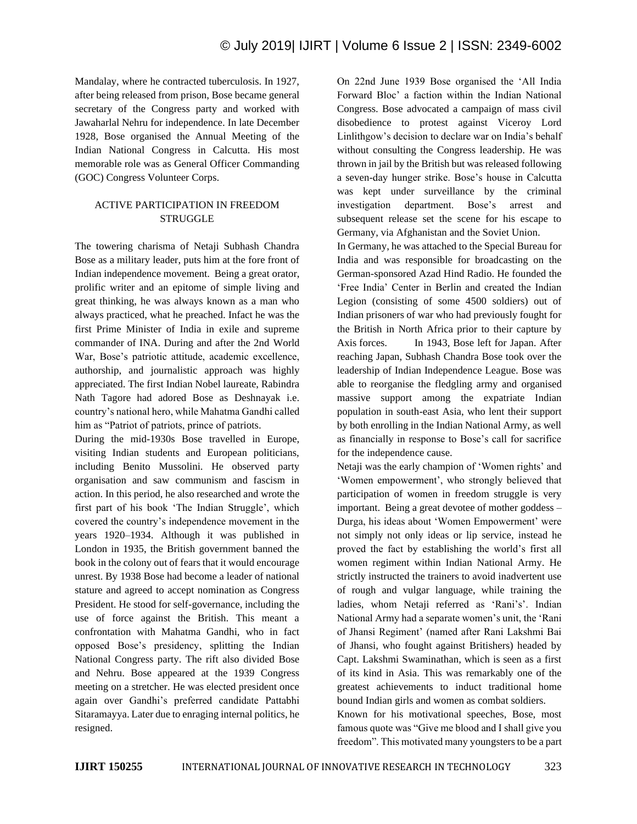Mandalay, where he contracted tuberculosis. In 1927, after being released from prison, Bose became general secretary of the Congress party and worked with Jawaharlal Nehru for independence. In late December 1928, Bose organised the Annual Meeting of the Indian National Congress in Calcutta. His most memorable role was as General Officer Commanding (GOC) Congress Volunteer Corps.

# ACTIVE PARTICIPATION IN FREEDOM STRUGGLE

The towering charisma of Netaji Subhash Chandra Bose as a military leader, puts him at the fore front of Indian independence movement. Being a great orator, prolific writer and an epitome of simple living and great thinking, he was always known as a man who always practiced, what he preached. Infact he was the first Prime Minister of India in exile and supreme commander of INA. During and after the 2nd World War, Bose's patriotic attitude, academic excellence, authorship, and journalistic approach was highly appreciated. The first Indian Nobel laureate, Rabindra Nath Tagore had adored Bose as Deshnayak i.e. country's national hero, while Mahatma Gandhi called him as "Patriot of patriots, prince of patriots.

During the mid-1930s Bose travelled in Europe, visiting Indian students and European politicians, including Benito Mussolini. He observed party organisation and saw communism and fascism in action. In this period, he also researched and wrote the first part of his book 'The Indian Struggle', which covered the country's independence movement in the years 1920–1934. Although it was published in London in 1935, the British government banned the book in the colony out of fears that it would encourage unrest. By 1938 Bose had become a leader of national stature and agreed to accept nomination as Congress President. He stood for self-governance, including the use of force against the British. This meant a confrontation with Mahatma Gandhi, who in fact opposed Bose's presidency, splitting the Indian National Congress party. The rift also divided Bose and Nehru. Bose appeared at the 1939 Congress meeting on a stretcher. He was elected president once again over Gandhi's preferred candidate Pattabhi Sitaramayya. Later due to enraging internal politics, he resigned.

On 22nd June 1939 Bose organised the 'All India Forward Bloc' a faction within the Indian National Congress. Bose advocated a campaign of mass civil disobedience to protest against Viceroy Lord Linlithgow's decision to declare war on India's behalf without consulting the Congress leadership. He was thrown in jail by the British but was released following a seven-day hunger strike. Bose's house in Calcutta was kept under surveillance by the criminal investigation department. Bose's arrest and subsequent release set the scene for his escape to Germany, via Afghanistan and the Soviet Union.

In Germany, he was attached to the Special Bureau for India and was responsible for broadcasting on the German-sponsored Azad Hind Radio. He founded the 'Free India' Center in Berlin and created the Indian Legion (consisting of some 4500 soldiers) out of Indian prisoners of war who had previously fought for the British in North Africa prior to their capture by Axis forces. In 1943, Bose left for Japan. After reaching Japan, Subhash Chandra Bose took over the leadership of Indian Independence League. Bose was able to reorganise the fledgling army and organised massive support among the expatriate Indian population in south-east Asia, who lent their support by both enrolling in the Indian National Army, as well as financially in response to Bose's call for sacrifice for the independence cause.

Netaji was the early champion of 'Women rights' and 'Women empowerment', who strongly believed that participation of women in freedom struggle is very important. Being a great devotee of mother goddess – Durga, his ideas about 'Women Empowerment' were not simply not only ideas or lip service, instead he proved the fact by establishing the world's first all women regiment within Indian National Army. He strictly instructed the trainers to avoid inadvertent use of rough and vulgar language, while training the ladies, whom Netaji referred as 'Rani's'. Indian National Army had a separate women's unit, the 'Rani of Jhansi Regiment' (named after Rani Lakshmi Bai of Jhansi, who fought against Britishers) headed by Capt. Lakshmi Swaminathan, which is seen as a first of its kind in Asia. This was remarkably one of the greatest achievements to induct traditional home bound Indian girls and women as combat soldiers.

Known for his motivational speeches, Bose, most famous quote was "Give me blood and I shall give you freedom". This motivated many youngsters to be a part